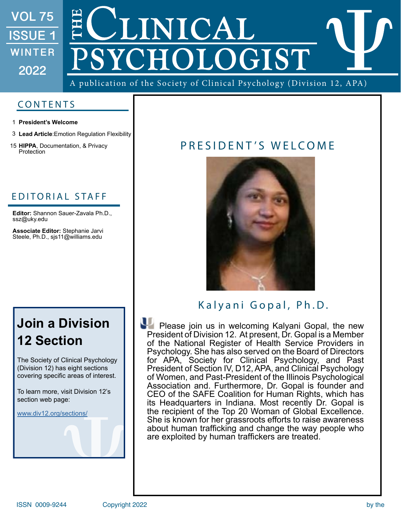## **VOL 75**  JNICAL **ISSUE 1**  OLOGIST **WINTER 2022**

A publication of the Society of Clinical Psychology (Division 12, APA)

## CONTENTS

- **President's Welcome** 1
- **Lead Article**:Emotion Regulation Flexibility 3
- **HIPPA**, Documentation, & Privacy 15

## EDITORIAL STAFF

**Editor:** Shannon Sauer-Zavala Ph.D., ssz@uky.edu

**Associate Editor:** Stephanie Jarvi Steele, Ph.D., sjs11@williams.edu

## **Join a Division 12 Section**

The Society of Clinical Psychology (Division 12) has eight sections covering specific areas of interest.

To learn more, visit Division 12's section web page:

[www.div12.org/sections/](http://www.div12.org/sections/)

## HIPPA, Documentation, & Privacy PRESIDENT'S WELCOME



## Kalyani Gopal, Ph.D.

Please join us in welcoming Kalyani Gopal, the new President of Division 12. At present, Dr. Gopal is a Member of the National Register of Health Service Providers in Psychology. She has also served on the Board of Directors for APA, Society for Clinical Psychology, and Past President of Section IV, D12, APA, and Clinical Psychology of Women, and Past-President of the Illinois Psychological Association and. Furthermore, Dr. Gopal is founder and CEO of the SAFE Coalition for Human Rights, which has its Headquarters in Indiana. Most recently Dr. Gopal is the recipient of the Top 20 Woman of Global Excellence. She is known for her grassroots efforts to raise awareness about human trafficking and change the way people who are exploited by human traffickers are treated.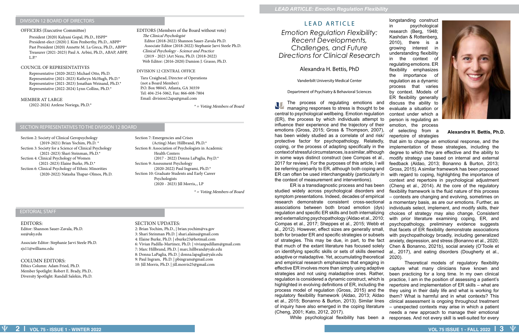### DIVISION 12 BOARD OF DIRECTORS

### SECTION REPRESENTATIVES TO THE DIVISION 12 BOARD

President (2020) Kalyani Gopal, Ph.D., HSPP\* President-elect (2020) J. Kim Penberthy, Ph.D., ABPP\* Past President (2020) Annette M. La Greca, Ph.D., ABPP\* Treasurer (2021-2023) Paul A. Arbisi, Ph.D., ABAP, ABPP,  $L.P.*$ 

### EDITORIAL STAFF

### OFFICERS (Executive Committee)

### COUNCIL OF REPRESENTATIVES

### DIVISION 12 CENTRAL OFFICE

### EDITORS (Members of the Board without vote) The Clinical Psychologist Editor (2018-2022) Shannon Sauer-Zavala Ph.D. Associate Editor (2018-2022) Stephanie Jarvi Steele Ph.D. Clinical Psychology - Science and Practice (2019 - 2023 )Art Nezu, Ph.D. (2018-2022) Web Editor: (2016-2020) Damion J. Grasso, Ph.D.

Representative (2020-2022) Michael Otto, Ph.D. Representative (2021-2023) Kathryn McHugh, Ph.D.\* Representative (2021-2023) Jonathan Weinand, Ph.D.\* Representative (2022-2024) Lynn Collins, Ph.D.\*

Tara Craighead, Director of Operations (not a Board Member) P.O. Box 98045, Atlanta, GA 30359 Tel: 404-254-5062, Fax: 866-608-7804 Email: division12apa@gmail.com

 $*$  = Voting Members of Board

### MEMBER AT LARGE

(2022-2024) Arelene Noriega, Ph.D.\*

Section 2: Society of Clinical Geropsychology (2019-2021) Brian Yochim, Ph.D. \* Section 3: Society for a Science of Clinical Psychology (2021-2023) Shari Steinman, Ph.D.\* Section 4: Clinical Psychology of Women (2021-2023) Elaine Burke, Ph.D.\* Section 6: Clinical Psychology of Ethnic Minorities (2020-2022) Natasha Thapar-Olmos, Ph.D. Section 7: Emergencies and Crises (Acting) Marc Hillbrand, Ph.D.\* Section 8: Association of Psychologists in Academic Health Centers (2017 - 2022) Donna LaPaglia, Psy.D.\* Section 9: Assessment Psychology (2020-2022) Paul Ingrami, Ph.D.\* Section 10: Graduate Students and Early Career Psychologists (2020 - 2023) Jill Morris,., LP

 $*$  = Voting Members of Board

### EDITORS:

Editor: Shannon Sauer-Zavala, Ph.D. ssz@uky.edu

Associate Editor: Stephanie Jarvi Steele Ph.D. sjs11@williams.edu

### COLUMN EDITORS:

Ethics Column: Adam Fried, Ph.D. Member Spotlight: Robert E. Brady, Ph.D.. Diversity Spotlight: Randall Salekin, Ph.D.

### SECTION UPDATES:

2: Brian Yochim, Ph.D., | brian.yochim@va.gov 3: Shari Steinman Ph.D. | shari.alaina@gmail.com 4: Elaine Burke, Ph.D. | eburke23@hotmail.com 6: Vivian Padilla-Martinez, Ph.D. | vivianpadillam@gmail.com 7: Marc Hillbrand, Ph.D. | marc.hillbrand@yale.edu 8: Donna LaPaglia, Ph.D. | donna.lapaglia@yale.edu 9: Paul Ingram, Ph.D. | pbingram@gmail.com 10: Jill Morris, Ph.D. | jill.morris25@gmail.com

### LEAD ARTICLE

*Emotion Regulation Flexibility: Recent Developments, Challenges, and Future Directions for Clinical Research* 

Alexandra H. Bettis, PhD

Vanderbilt University Medical Center

Department of Psychiatry & Behavioral Sciences

The process of regulating emotions and managing responses to stress is thought to be central to psychological wellbeing. Emotion regulation (ER), the process by which individuals attempt to influence their experience and the trajectory of their emotions (Gross, 2015; Gross & Thompson, 2007), has been widely studied as a correlate of and risk/ ER is a transdiagnostic process and has been discuss the ability to evaluate a situation or context under which a person is regulating an emotion, the process of selecting from a repertoire of strategies that aim to change an emotional response, and the implementation of these strategies, including the degree to which they are effective and the ability to modify strategy use based on internal and external feedback (Aldao, 2013; Bonanno & Burton, 2013; Gross, 2015). A similar framework has been proposed with regard to coping, highlighting the importance of context and repertoire in psychological adjustment (Cheng et al., 2014). At the core of the regulatory flexibility framework is the fluid nature of this process – contexts are changing and evolving, sometimes on a momentary basis, as are our emotions. Further, as individuals select, implement, and modify skills, their choices of strategy may also change. Consistent with prior literature examining coping, ER, and psychopathology, preliminary evidence suggests that facets of ER flexibility demonstrate associations with psychopathology broadly, including generalized anxiety, depression, and stress (Bonanno et al., 2020; Chen & Bonanno, 2021b), social anxiety (O'Toole et al., 2017), and eating disorders (Dougherty et al., 2020).

longstanding construct in psychological research (Berg, 1948; Kashdan & Rottenberg, 2010), there is a growing interest in understanding flexibility in the context of regulating emotions. ER flexibility emphasizes the importance of regulation as a dynamic process that varies by context. Models of ER flexibility generally



protective factor for psychopathology. Relatedly, coping, or the process of adapting specifically in the context of stressful circumstances, is a similar, although in some ways distinct construct (see Compas et al., 2017 for review). For the purposes of this article, I will be referring primarily to ER, although both coping and ER can often be used interchangeably (particularly in the context of measurement and interventions). studied widely across psychological disorders and symptom presentations. Indeed, decades of empirical research demonstrate consistent cross-sectional associations between both broad emotion (dys) regulation and specific ER skills and both internalizing and externalizing psychopathology (Aldao et al., 2010; Compas et al., 2017; Sheppes et al., 2015; Webb et al., 2012). However, effect sizes are generally small, both for broader ER and specific strategies or subsets of strategies. This may be due, in part, to the fact that much of the extant literature has focused solely on identifying specific skills or sets of skills deemed adaptive or maladaptive. Yet, accumulating theoretical and empirical research emphasizes that engaging in effective ER involves more than simply using adaptive strategies and not using maladaptive ones. Rather, regulation is considered a dynamic construct, which is highlighted in evolving definitions of ER, including the process model of regulation (Gross, 2015) and the regulatory flexibility framework (Aldao, 2013; Aldao et al., 2015; Bonanno & Burton, 2013). Similar lines of inquiry have also emerged in the coping literature (Cheng, 2001; Kato, 2012, 2017). While psychological flexibility has been a responses. And not every skill is well-suited for every Theoretical models of regulatory flexibility capture what many clinicians have known and been practicing for a long time. In my own clinical practice, I am in the position of assessing a patient's repertoire and implementation of ER skills – what are they using in their daily life and what is working for them? What is harmful and in what contexts? This clinical assessment is ongoing throughout treatment – unexpected contexts may arise in which a patient needs a new approach to manage their emotional

### **Alexandra H. Bettis, Ph.D.**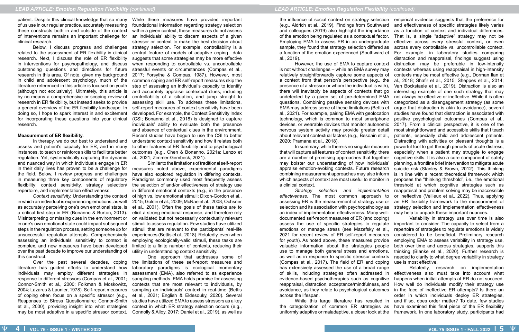of us use in our regular practice, accurately measuring these constructs both in and outside of the context of interventions remains an important challenge for clinical research.

Below, I discuss progress and challenges related to the assessment of ER flexibility in clinical research. Next, I discuss the role of ER flexibility in interventions for psychopathology, and discuss outstanding questions and directions for future research in this area. Of note, given my background in child and adolescent psychology, much of the literature referenced in this article is focused on youth (although not exclusively). Ultimately, this article is by no means a comprehensive or scoping review of research in ER flexibility, but instead seeks to provide a general overview of the ER flexibility landscape. In doing so, I hope to spark interest in and excitement for incorporating these questions into your clinical research.

### **Measurement of ER flexibility.**

In therapy, we do our best to understand and assess and patient's capacity for ER, and in many instances, to teach or reinforce skills to facilitate better regulation. Yet, systematically capturing the dynamic and nuanced way in which individuals engage in ER in their daily lives has proven to be a challenge for the field. Below, I review progress and challenges in measuring three key components of regulatory flexibility: context sensitivity, strategy selection/ repertoire, and implementation effectiveness.

*Context sensitivity.* Understanding the context in which an individual is experiencing emotions, as well as accurately perceiving one's own emotional state, is a critical first step in ER (Bonanno & Burton, 2013). Misinterpreting or missing cues in the environment or in one's own emotional state could impact subsequent steps in the regulation process, setting someone up for unsuccessful regulation attempts. Comprehensively assessing an individuals' sensitivity to context is complex, and new measures have been developed over the past decade to improve our understanding of this construct.

patient. Despite this clinical knowledge that so many While these measures have provided important foundational information regarding strategy selection within a given context, these measures do not assess an individuals' ability to discern aspects of a given stressor or context to make the best decision about strategy selection. For example, controllability is a central feature of models of adaptive coping—data suggests that some strategies may be more effective when responding to controllable vs. uncontrollable stressful events or circumstances (Compas et al., 2017; Forsythe & Compas, 1987). However, most common coping and ER self-report measures skip the step of assessing an individual's capacity to identify and accurately appraise contextual clues, including controllability of a situation, and jump straight to assessing skill use. To address these limitations, self-report measures of context sensitivity have been developed. For example, the Context Sensitivity Index (CSI; Bonanno et al., 2018) is designed to capture individuals' ability to evaluate both the presence and absence of contextual clues in the environment. Recent studies have begun to use the CSI to better understand context sensitivity and how it relates both to other features of ER flexibility and to psychological outcomes (e.g., Chen & Bonanno, 2021a; Lenzo et al., 2021; Zimmer-Gembeck, 2021).

Over the past several decades, coping literature has guided efforts to understand how individuals may employ different strategies in response to different stressors (Compas et al., 2001; Connor-Smith et al., 2000; Folkman & Moskowitz, 2004; Lazarus & Launier, 1978). Self-report measures of coping often focus on a specific stressor (e.g., Responses to Stress Questionnaire; Connor-Smith et al., 2000), providing insight into what strategies may be most adaptive in a specific stressor context.

the influence of social context on strategy selection empirical evidence suggests that the preference for (e.g., Aldrich et al., 2019). Findings from Southward and colleagues (2019) also highlight the importance of the emotion being regulated as a contextual factor. Employing EMA to assess ER in an undergraduate sample, they found that strategy selection differed as a function of the emotion experienced (Southward et For example, in laboratory studies comparing al., 2019). is not without challenges – while an EMA survey may relatively straightforwardly capture some aspects of a context from that person's perspective (e.g., the presence of a stressor or whom the individual is with), there will inevitably be aspects of contexts that go undetected by a given set of pre-determined EMA questions. Combining passive sensing devices with EMA may address some of these limitations (Bettis et al., 2021). For example, pairing EMA with geolocation technology, which is common to most smartphone devices, or wearable devices that monitor autonomic nervous system activity may provide greater detail about relevant contextual factors (e.g., Besoain et al., 2020; Pramana et al., 2018). that will capture all features of context sensitivity, there are a number of promising approaches that together may bolster our understanding of how individuals' appraise emotion-evoking contexts. Future research combining measurement approaches may also inform which aspects of context are most useful to monitor in a clinical context. *effectiveness.* The most common approach to assessing ER is the measurement of strategy use or selection and its association with psychopathology as

Similar to the limitations of traditional self-report measures noted above, experimental paradigms have also explored regulation in differing contexts. Paradigms commonly used most frequently assess the selection of and/or effectiveness of strategy use in different emotional contexts (e.g., in the presence of high vs. low emotional stimuli; Dixon-Gordon et al., 2015; Goldin et al., 2009; McRae et al., 2008; Ochsner et al., 2001). Often the goals of these tasks are to elicit a strong emotional response, and therefore rely on validated but not necessarily contextually relevant stimuli to assess regulation. Few studies have utilized stimuli that are relevant to the participants' real-life experiences (Bettis et al., 2018). Relatedly, even when employing ecologically-valid stimuli, these tasks are limited to a finite number of contexts, reducing their utility in understanding context sensitivity.

One approach that addresses some of the limitations of these self-report measures and laboratory paradigms is ecological momentary assessment (EMA), also referred to as experience sampling methods. EMA holds promise for assessing contexts that are most relevant to individuals, by sampling an individuals' context in real-time (Bettis et al., 2021; English & Eldesouky, 2020). Several studies have utilized EMA to assess stressors as a key context in which ER strategy selection occurs (e.g., Connolly & Alloy, 2017; Daniel et al., 2019), as well as

However, the use of EMA to capture context In summary, while there is no singular measure *Strategy selection and implementation*  and effectiveness of specific strategies likely varies as a function of context and individual differences. That is, a single "adaptive" strategy may not be effective across every stressful context, or even across every controllable vs. uncontrollable context. distraction and reappraisal, findings suggest using distraction may be preferable in low-intensity contexts whereas using reappraisal in high-intensity contexts may be most effective (e.g., Dorman Ilan et al., 2018; Shafir et al., 2015; Sheppes et al., 2014; Van Bockstaele et al., 2019). Distraction is also an interesting example of one such strategy that may not always be effective or ineffective. While it is often categorized as a disengagement strategy (as some argue that distraction is akin to avoidance), several studies have found that distraction is associated with positive psychological outcomes (Compas et al., 2017). From a clinical perspective, it is one of the most straightforward and accessible skills that I teach patients, especially child and adolescent patients. Distracting with activities or pleasant thoughts is a powerful tool to get through periods of acute distress, especially when a patient may struggle to engage cognitive skills. It is also a core component of safety planning, a frontline brief intervention to mitigate acute suicide risk (Stanley & Brown, 2012). This thinking is in line with a recent theoretical framework which proposes the "thinking threshold", i.e., the emotional threshold at which cognitive strategies such as reappraisal and problem solving may be inaccessible or ineffective (Veilleux et al., 2022). Thus, applying an ER flexibility framework to the measurement of strategy selection and implementation effectiveness

an index of implementation effectiveness. Many welldocumented self-report measures of ER (and coping) assess the use of specific strategies to regulate emotions or manage stress (see Mazefsky et al., 2021 for recent review of ER self-report measures for youth). As noted above, these measures provide valuable information about the strategies people use to manage both general stress and emotions, as well as in response to specific stressor contexts (Compas et al., 2017). The field of ER and coping has extensively assessed the use of a broad range of skills, including strategies often addressed in evidence-based psychotherapies such as cognitive reappraisal, distraction, acceptance/mindfulness, and avoidance, as they relate to psychological outcomes in the face of ineffective ER attempts? Is there an across the lifespan. While this large literature has resulted in the categorization of common ER strategies as uniformly adaptive or maladaptive, a closer look at the may help to unpack these important nuances. Variability in strategy use over time is also important to consider. The capacity to select from a repertoire of strategies to regulate emotions is widely considered to be beneficial. Preliminary research employing EMA to assess variability in strategy use, both over time and across strategies, supports this thinking (Blanke et al., 2020). Further research is needed to clarify to what degree variability in strategy use is most effective. Relatedly, research on implementation effectiveness also must take into account what happens when initial attempts at ER do not succeed. How well do individuals modify their strategy use order in which individuals deploy ER strategies, and if so, does order matter? To date, few studies have examined this final piece of the ER flexibility framework. In one laboratory study, participants had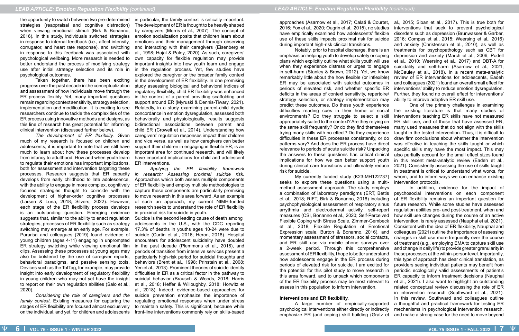the opportunity to switch between two pre-determined in particular, the family context is critically important. strategies (reappraisal and cognitive distraction) The development of ER is thought to be heavily shaped when viewing emotional stimuli (Birk & Bonanno, by caregivers (Morris et al., 2007). The concept of 2016). In this study, individuals switched strategies in response to internal feedback (i.e., affect intensity, corrugator, and heart rate response), and switching in response to this feedback was associated with psychological wellbeing. More research is needed to better understand the process of modifying strategy use after initial strategy selection and its role in in the regulation process. Yet, few studies have psychological outcomes.

Taken together, there has been exciting progress over the past decade in the conceptualization study assessing biological and behavioral indices of and assessment of how individuals move through the ER process flexibly. Yet, many important questions in the context of a parent providing scaffolding and remain regarding context sensitivity, strategy selection, implementation and modification. It is exciting to see Relatedly, in a study examining parent-child dyadic researchers continue to tackle the complexities of the ER process using innovative methods and designs, as this line of research has great potential for informing bidirectional associations between parent and clinical intervention (discussed further below).

*Considering the role of caregivers and the family context.* Existing measures for capturing the stages of ER flexibility are focused almost exclusively on the individual, and yet, for children and adolescents front-line interventions commonly rely on skills-based

much of my research is focused on children and adolescents, it is important to note that we still have support their children in engaging in flexible ER, is an much to learn about how these processes develop from infancy to adulthood. How and when youth learn have important implications for child and adolescent to regulate their emotions has important implications, both for assessment and intervention targeting these processes. Research suggests that ER capacity *in research: Assessing proximal suicide risk.* develops from early childhood to late adolescence, with the ability to engage in more complex, cognitively focused strategies thought to coincide with the capture these components are particularly promising development of higher-order cognitive processes (Larsen & Luna, 2018; Silvers, 2022). However, each stage of the ER flexibility process develops is an outstanding question. Emerging evidence suggests that, similar to the ability to enact regulation strategies, processes of ER flexibility such as strategy switching may emerge at an early age. For example, 17.3% of deaths in youths ages 10-24 were due to Pararisa and colleagues (2019) found evidence of young children (ages 4-11) engaging in unprompted ER strategy switching while viewing emotional film clips. Assessing these processes at young ages may also be bolstered by the use of caregiver reports, behavioral paradigms, and passive sensing tools. Devices such as the TotTag, for example, may provide Yen et al., 2013). Prominent theories of suicide identify insight into early development of regulatory flexibility in young children who may not yet have the insight to report on their own regulation abilities (Salo et al., et al., 2018; Heffer & Willoughby, 2018; Horwitz et 2020).

The development of ER flexibility. Given caregivers' regulation responses impact their children emotion socialization posits that children learn about emotions and their management through observing and interacting with their caregivers (Eisenberg et al., 1998; Hajal & Paley, 2020). As such, caregivers' own capacity for flexible regulation may provide important insights into how youth learn and engage explored the caregiver or the broader family context in the development of ER flexibility. In one promising regulatory flexibility, child ER flexibility was enhanced support around ER (Myruski & Dennis-Tiwary, 2021). concordance in emotion dysregulation, assessed both behaviorally and physiologically, results suggests child ER (Crowell et al., 2014). Understanding how and vice versa, as well as how caregivers can better important area for continued research, and will likely ER interventions.

> *Applying the ER flexibility framework*  Approaches which both assess multiple components of ER flexibility and employ multiple methodologies to to move research in this area forward. As an example of such an approach, my current NIMH-funded research seeks to understand the role of ER flexibility in proximal risk for suicide in youth.

> Suicide is the second leading cause of death among adolescents in the U.S., with the CDC reporting suicide (Curtin et al., 2016; Heron, 2018). Hospital encounters for adolescent suicidality have doubled in the past decade (Plemmons et al., 2018), and periods of transition from intensive services present a particularly high-risk period for suicidal thoughts and behaviors (Brent et al., 1998; Prinstein et al., 2008; difficulties in ER as a critical factor in the pathway to suicidal behavior (Brausch & Woods, 2018; Harris al., 2018). Indeed, evidence-based approaches for suicide prevention emphasize the importance of regulating emotional responses when under stress to maintain safety. This is significant, because while

Notably, prior to hospital discharge, there is an interventions that seek to prevent psychological disorders such as depression (Brunwasser & Garber, 2016; Compas et al., 2015; Weersing et al., 2016) and anxiety (Christensen et al., 2010), as well as treatments for psychopathology such as CBT for depression and anxiety (March et al., 2006; Podell et al., 2010; Weersing et al., 2017) and DBT-A for suicidality and self-harm (Asarnow et al., 2021; McCauley et al., 2018). In a recent meta-analytic review of ER interventions for adolescents, Eadeh and colleagues (2021) found an overall small effect for interventions' ability to reduce emotion dysregulation. Further, they found no overall effect for interventions' ability to improve adaptive ER skill use.

approaches (Asarnow et al., 2017; Calati & Courtet, al., 2015; Sloan et al., 2017). This is true both for 2016; Fox et al., 2020; Ougrin et al., 2015), no studies have empirically examined how adolescents' flexible use of these skills impacts proximal risk for suicide during important high-risk clinical transitions. emphasis on helping youth to develop safety or coping plans which explicitly outline what skills youth will use when they experience distress or urges to engage in self-harm (Stanley & Brown, 2012). Yet, we know remarkably little about the how flexible (or inflexible) ER may be associated with suicidal outcomes in periods of elevated risk, and whether specific ER deficits in the areas of context sensitivity, repertoire/ strategy selection, or strategy implementation may predict these outcomes. Do these youth experience difficulties reading cues in their home or social environments? Do they struggle to select a skill appropriately suited to the context? Are they relying on the same skill frequently? Or do they find themselves trying many skills with no effect? Do they experience difficulties in these ER processes consistently, or do patterns vary? And does the ER process have direct relevance to periods of acute suicide risk? Unpacking the answers to these questions has critical clinical implications for how we can better support youth during clinical care transitions and ultimately reduce risk for suicide. My currently funded study (K23-MH122737) seeks to explore these questions using a multi-One of the primary challenges in examining the existing literature is that many studies of interventions teaching ER skills have not measured ER skill use, and of those that have assessed ER, many used measures that do not align with the skills taught in the tested intervention. Thus, it is difficult to draw firm conclusions about whether the intervention was effective in teaching the skills taught or which specific skills may have the most impact. This may also partially account for the small effect sizes found in this recent meta-analytic review (Eadeh et al., 2021). Consistently assessing the use of skills taught in treatment is critical to understand what works, for whom, and to inform ways we can enhance existing intervention protocols.

method assessment approach. The study employs a combination of laboratory paradigms (ERT, Bettis et al., 2018; RIFT, Birk & Bonanno, 2016) including psychophysiological assessment of respiratory sinus arrythmia and electrodermal activity, self-report measures (CSI, Bonanno et al., 2020; Self-Perceived Flexible Coping with Stress Scale, Zimmer-Gembeck et al., 2018; Flexible Regulation of Emotional Expression scale, Burton & Bonanno, 2016), and momentary assessment of stressors, social contacts, and ER skill use via mobile phone surveys over a 2-week period. Through this comprehensive assessment of ER flexibility, I hope to better understand how adolescents engage in the ER process during periods of elevated risk for suicide. I am excited for the potential for this pilot study to move research in this area forward, and to unpack which components of the ER flexibility process may be most relevant to assess in this population to inform intervention. **Interventions and ER flexibility.**  A large number of empirically-supported psychological interventions either directly or indirectly emphasize ER (and coping) skill building (Gratz et In addition, evidence for the impact of psychosocial interventions on each component of ER flexibility remains an important question for future research. While some studies have assessed regulation abilities pre- and post-treatment, when and how skill use changes during the course of an active intervention, is rarely assessed (Nauphal et al. 2021). Consistent with the idea of ER flexibility, Nauphal and colleagues (2021) outline the importance of assessing changes in skill use more frequently over the course of treatment (e.g., employing EMA to capture skill use and change in daily life) to provide greater granularity in these processes at the within-person level. Importantly, this type of approach has clear clinical translation, as providers seeing individual patients may benefit from periodic ecologically valid assessments of patient's ER capacity to inform treatment decisions (Nauphal et al., 2021). I also want to highlight an outstanding related conceptual review discussing the role of ER in intervention research (Southward et al., 2021). In this review, Southward and colleagues outline a thoughtful and practical framework for testing ER mechanisms in psychological intervention research, and make a strong case for the need to move beyond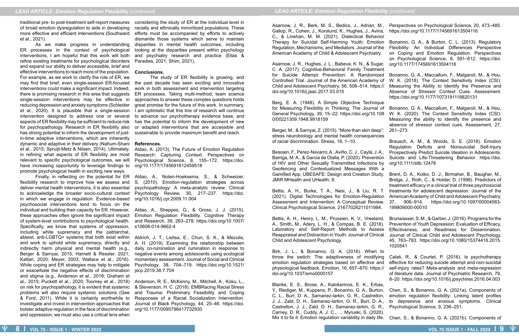traditional pre- to post-treatment self-report measures considering the study of ER at the individual level in of broad emotion dysregulation to aide in developing more effective and efficient interventions (Southward et al., 2021).

As we make progress in understanding ER processes in the context of psychological interventions, I am hopeful that this work will both refine existing treatments for psychological disorders Paradies, 2021; Shim, 2021). and expand our ability to deliver accessible, brief and effective interventions to reach more of the population. **Conclusions.** For example, as we work to clarify the role of ER, we may find that brief, even single-session ER-focused the past decade has seen exciting and innovative interventions could make a significant impact. Indeed, there is promising research in this area that suggests single-session interventions may be effective in reducing depression and anxiety symptoms (Schleider et al., 2020). It is plausible that a single-session I am optimistic that this line of research will continue intervention designed to address one or several aspects of ER flexibility may be sufficient to reduce risk for psychopathology. Research in ER flexibility also has strong potential to inform the development of just-sustainable to provide maximum benefit and reach. in-time adaptive interventions, which are inherently dynamic and adaptive in their delivery (Nahum-Shani **References.** et al., 2015; Spruijt-Metz & Nilsen, 2014). Ultimately, in refining what aspects of ER flexibility are most relevant to specific psychological outcomes, we will have increasing opportunity to leverage findings to promote psychological health in exciting new ways.

flexibility research to improve how we assess and deliver mental health interventions, it is also essential to acknowledge the broader socio-cultural context Psychology Review, 30, 217–237. https://doi. in which we engage in regulation. Evidence-based psychosocial interventions tend to focus on the individual and building their capacity for ER. However, Aldao, A., Sheppes, G., & Gross, J. J. (2015). these approaches often ignore the significant impact of system-level contributions to psychological health. Specifically, we know that systems of oppression, s10608-014-9662-4 including white supremacy and the patriarchal, ableist, anti-LGBTQ+ systems that both exist within Aldrich, J. T., Lisitsa, E., Chun, S. K., & Mezulis, and work to uphold white supremacy, directly and indirectly harm physical and mental health (e.g., Berger & Sarnyai, 2015; Harnett & Ressler, 2021; negative events among adolescents using ecological Kattari, 2020; Meyer, 2003; Wallace et al., 2016). While coping and ER strategies may help to mitigate Psychology, 38, 704–719. https://doi.org/10.1521/ or exacerbate the negative effects of discrimination jscp.2019.38.7.704 and stigma (e.g., Anderson et al., 2018; Graham et al., 2015; Puckett et al., 2020; Toomey et al., 2018) Anderson, R. E., McKenny, M., Mitchell, A., Koku, L., on risk for psychopathology, it is evident that systemic problems will also require systemic solutions (Gee & Ford, 2011). While it is certainly worthwhile to investigate and invest in intervention approaches that bolster adaptive regulation in the face of discrimination and oppression, we must also use a critical lens when

Finally, in reflecting on the potential for ER Aldao, A., Nolen-Hoeksema, S., & Schweizer, S. (2010). Emotion-regulation strategies across psychopathology: A meta-analytic review. Clinical org/10.1016/j.cpr.2009.11.004

racially and ethnically minoritized populations. These efforts must be accompanied by efforts to actively dismantle those systems which serve to maintain disparities in mental health outcomes, including looking at the disparities present within psychology and psychiatry research and practice (Elias &

Blanke, E. S., Brose, A., Kalokerinos, E. K., Erbas, Y., Riediger, M., Kuppens, P., Bonanno, G. A., Burton, Chen, S., & Bonanno, G. A. (2021a). Components of C. L., Burr, D. A., Samanez-larkin, G. R., Castrellon, emotion regulation flexibility: Linking latent profiles J. J., Zald, D. H., Samanez-larkin, G. R., Burr, D. A., to depressive and anxious symptoms. Clinical Castrellon, J. J., Zald, D. H., Samanez-larkin, G. R., Psychological Science, 9, 236–251. Carney, D. R., Cuddy, A. J. C., … Myruski, S. (2020). Mix it to fix it: Emotion regulation variability in daily life. Chen, S., & Bonanno, G. A. (2021b). Components of

The study of ER flexibility is growing, and work in both assessment and intervention targeting ER processes. Taking multi-method, team science approaches to answer these complex questions holds great promise for the future of this work. In summary, to advance our psychotherapy evidence base, and has the potential to inform the development of new or adapted interventions that are accessible and

.

Aldao, A. (2013). The Future of Emotion Regulation Research: Capturing Context. Perspectives on Psychological Science, 8, 155–172. https://doi. org/10.1177/1745691612459518

Emotion Regulation Flexibility. Cognitive Therapy and Research, 39, 263–278. https://doi.org/10.1007/

A. H. (2019). Examining the relationship between daily co-rumination and rumination in response to momentary assessment. Journal of Social and Clinical

& Stevenson, H. C. (2018). EMBRacing Racial Stress and Trauma: Preliminary Feasibility and Coping Responses of a Racial Socialization Intervention. Journal of Black Psychology, 44, 25–46. https://doi. org/10.1177/0095798417732930

Gallop, R., Cohen, J., Korslund, K., Hughes, J., Avina, https://doi.org/10.1177/1745691613504116 C., & Linehan, M. M. (2021). Dialectical Behavior American Academy of Child & Adolescent Psychiatry.

Asarnow, J. R., Hughes, J. L., Babeva, K. N., & Sugar, org/10.1177/1745691613504116 C. A. (2017). Cognitive-Behavioral Family Treatment Controlled Trial. Journal of the American Academy of Child and Adolescent Psychiatry, 56, 506–514. https:// doi.org/10.1016/j.jaac.2017.03.015

Berg, E. A. (1948). A Simple Objective Technique for Measuring Flexibility in Thinking. The Journal of General Psychology, 39, 15–22. https://doi.org/10.108 0/00221309.1948.9918159

Berger, M., & Sarnyai, Z. (2015). "More than skin deep": stress neurobiology and mental health consequences of racial discrimination. Stress, 18, 1–10.

Bettis, A. H., Burke, T. A., Nesi, J., & Liu, R. T. treatments for adolescent depression. Journal of the (2021). Digital Technologies for Emotion-Regulation American Academy of Child and Adolescent Psychiatry, Assessment and Intervention: A Conceptual Review. 37, 906–914. https://doi.org/10.1097/00004583- Clinical Psychological Science, 21677026211011984.

- Asarnow, J. R., Berk, M. S., Bedics, J., Adrian, M., Perspectives on Psychological Science, 20, 473–485.
	-
- Therapy for Suicidal Self-Harming Youth: Emotion Bonanno, G. A., & Burton, C. L. (2013). Regulatory Regulation, Mechanisms, and Mediators. Journal of the Flexibility: An Individual Differences Perspective on Coping and Emotion Regulation. Perspectives on Psychological Science, 8, 591–612. https://doi.
	-
- for Suicide Attempt Prevention: A Randomized Bonanno, G. A., Maccallum, F., Malgaroli, M., & Hou, W. K. (2018). The Context Sensitivity Index (CSI): Measuring the Ability to Identify the Presence and Absence of Stressor Context Cues. Assessment. https://doi.org/10.1177/1073191118820131
	-
	- Bonanno, G. A., Maccallum, F., Malgaroli, M., & Hou, W. K. (2020). The Context Sensitivity Index (CSI): Measuring the ability to identify the presence and absence of stressor context cues. Assessment, 27, 261–273.
	-

Bettis, A. H., Henry, L. M., Prussien, K. V., Vreeland, A., Smith, M., Adery, L. H., & Compas, B. E. (2018). Laboratory and Self-Report Methods to Assess Reappraisal and Distraction in Youth. Journal of Clinical Child and Adolescent Psychology.

Birk, J. L., & Bonanno, G. A. (2016). When to throw the switch: The adaptiveness of modifying emotion regulation strategies based on affective and physiological feedback. Emotion, 16, 657–670. https:// doi.org/10.1037/emo0000157

Besoain, F., Perez-Navarro, A., Aviño, C. J., Caylà, J. A., Barriga, M. A., & Garcia de Olalla, P. (2020). Prevention Suicide and Life-Threatening Behavior. https://doi. of HIV and Other Sexually Transmitted Infections by org/10.1111/sltb.12478 Geofencing and Contextualized Messages With a Gamified App, UBESAFE: Design and Creation Study. Brent, D. A., Kolko, D. J., Birmaher, B., Baugher, M., JMIR MHealth and UHealth, 8. Bridge, J., Roth, C., & Holder, D. (1998). Predictors of treatment efficacy in a clinical trial of three psychosocial

Brausch, A. M., & Woods, S. E. (2018). Emotion Regulation Deficits and Nonsuicidal Self-Injury Prospectively Predict Suicide Ideation in Adolescents.

- 
- 199809000-00010
- Brunwasser, S. M., & Garber, J. (2016). Programs for the Prevention of Youth Depression: Evaluation of Efficacy, Effectiveness, and Readiness for Dissemination. Journal of Clinical Child and Adolescent Psychology, 45, 763–783. https://doi.org/10.1080/15374416.2015. 1020541
- 
- Calati, R., & Courtet, P. (2016). Is psychotherapy effective for reducing suicide attempt and non-suicidal self-injury rates? Meta-analysis and meta-regression of literature data. Journal of Psychiatric Research, 79, 8–20. https://doi.org/10.1016/j.jpsychires.2016.04.003
- 
-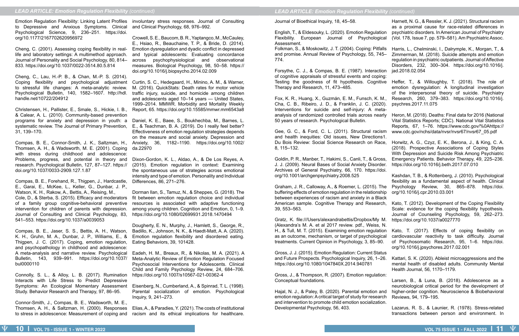to Depressive and Anxious Symptoms. Clinical Psychological Science, 9, 236–251. https://doi. org/10.1177/2167702620956972

Cheng, C. (2001). Assessing coping flexibility in reallife and laboratory settings: A multimethod approach. Journal of Personality and Social Psychology, 80, 814– 833. https://doi.org/10.1037/0022-3514.80.5.814

Cheng, C., Lau, H.-P. B., & Chan, M.-P. S. (2014). Coping flexibility and psychological adjustment to stressful life changes: A meta-analytic review. Psychological Bulletin, 140, 1582–1607. http://hdl. handle.net/10722/204912

Christensen, H., Pallister, E., Smale, S., Hickie, I. B., & Calear, A. L. (2010). Community-based prevention programs for anxiety and depression in youth: a Daniel, K. E., Baee, S., Boukhechba, M., Barnes, L. systematic review. The Journal of Primary Prevention, 31, 139–170.

Compas, B. E., Connor-Smith, J. K., Saltzman, H., Thomsen, A. H., & Wadsworth, M. E. (2001). Coping with stress during childhood and adolescence: Problems, progress, and potential in theory and Dixon-Gordon, K. L., Aldao, A., & De Los Reyes, A. research. Psychological Bulletin, 127, 87–127. https:// doi.org/10.1037/0033-2909.127.1.87

Emotion Regulation Flexibility: Linking Latent Profiles involuntary stress responses. Journal of Consulting and Clinical Psychology, 68, 976–992.

Compas, B. E., Forehand, R., Thigpen, J., Hardcastle, E., Garai, E., McKee, L., Keller, G., Dunbar, J. P., Watson, K. H., Rakow, A., Bettis, A., Reising, M., Cole, D., & Sterba, S. (2015). Efficacy and moderators of a family group cognitive-behavioral preventive intervention for children of parents with depression. Journal of Consulting and Clinical Psychology, 83, 541–553. https://doi.org/10.1037/a0039053

Compas, B. E., Jaser, S. S., Bettis, A. H., Watson, K. H., Gruhn, M. A., Dunbar, J. P., Williams, E., & Thigpen, J. C. (2017). Coping, emotion regulation, and psychopathology in childhood and adolescence: A meta-analysis and narrative review. Psychological Bulletin, 143, 939–991. https://doi.org/10.1037/ bul0000110

Connolly, S. L., & Alloy, L. B. (2017). Rumination Interacts with Life Stress to Predict Depressive Symptoms: An Ecological Momentary Assessment Study. Behavior Research and Therapy, 97, 86–95.

Connor-Smith, J., Compas, B. E., Wadsworth, M. E., Thomsen, A. H., & Saltzman, H. (2000). Responses to stress in adolescence: Measurement of coping and

Crowell, S. E., Baucom, B. R., Yaptangco, M., McCauley, E., Hsiao, R., Beauchaine, T. P., & Bride, D. (2014). Emotion dysregulation and dyadic conflict in depressed and typical adolescents: Evaluating concordance across psychophysiological and observational measures. Biological Psychology, 98, 50–58. https:// doi.org/10.1016/j.biopsycho.2014.02.009

Curtin, S. C., Hedegaard, H., Minino, A. M., & Warner, M. (2016). QuickStats: Death rates for motor vehicle traffic injury, suicide, and homicide among children and adolescents aged 10–14 years — United States, 1999–2014. MMWR. Morbidity and Mortality Weekly Report, 65. https://doi.org/10.15585/mmwr.mm6543a8

E., & Teachman, B. A. (2019). Do I really feel better? Effectiveness of emotion regulation strategies depends on the measure and social anxiety. Depression and Anxiety, 36, 1182–1190. https://doi.org/10.1002/ da.22970

(2015). Emotion regulation in context: Examining the spontaneous use of strategies across emotional intensity and type of emotion. Personality and Individual Differences, 86, 271–276.

Dorman Ilan, S., Tamuz, N., & Sheppes, G. (2018). The fit between emotion regulation choice and individual resources is associated with adaptive functioning among young children. Cognition and Emotion, 0, 1–9. https://doi.org/10.1080/02699931.2018.1470494

Dougherty, E. N., Murphy, J., Hamlett, S., George, R., Badillo, K., Johnson, N. K., & Haedt-Matt, A. A. (2020). Emotion regulation flexibility and disordered eating. Eating Behaviors, 39, 101428.

Eadeh, H. M., Breaux, R., & Nikolas, M. A. (2021). A Meta-Analytic Review of Emotion Regulation Focused Psychosocial Interventions for Adolescents. Clinical Child and Family Psychology Review, 24, 684–706. https://doi.org/10.1007/s10567-021-00362-4

Eisenberg, N., Cumberland, A., & Spinrad, T. L. (1998). Parental socialization of emotion. Psychological Inquiry, 9, 241–273.

Elias, A., & Paradies, Y. (2021). The costs of institutional racism and its ethical implications for healthcare. Journal of Bioethical Inquiry, 18, 45–58.

English, T., & Eldesouky, L. (2020). Emotion Regulation Flexibility. European Journal of Psychological Assessment.

and promise. Annual Review of Psychology, 55, 745– 774.

Forsythe, C. J., & Compas, B. E. (1987). Interaction of cognitive appraisals of stressful events and coping: Testing the goodness of fit hypothesis. Cognitive Therapy and Research, 11, 473–485.

Fox, K. R., Huang, X., Guzmán, E. M., Funsch, K. M., Cha, C. B., Ribeiro, J. D., & Franklin, J. C. (2020). Interventions for suicide and self-injury: A metaanalysis of randomized controlled trials across nearly 50 years of research. Psychological Bulletin.

Gee, G. C., & Ford, C. L. (2011). Structural racism and health inequities: Old issues, New Directions1. Du Bois Review: Social Science Research on Race, 8, 115–132.

Goldin, P. R., Manber, T., Hakimi, S., Canli, T., & Gross, J. J. (2009). Neural Bases of Social Anxiety Disorder. Archives of General Psychiatry, 66, 170. https://doi. org/10.1001/archgenpsychiatry.2008.525

buffering effects of emotion regulation in the relationship between experiences of racism and anxiety in a Black American sample. Cognitive Therapy and Research, 39, 553–563.

- Folkman, S., & Moskowitz, J. T. (2004). Coping: Pitfalls Harris, L., Chelminski, I., Dalrymple, K., Morgan, T., & Zimmerman, M. (2018). Suicide attempts and emotion regulation in psychiatric outpatients. Journal of Affective Disorders, 232, 300–304. https://doi.org/10.1016/j. jad.2018.02.054
	-
	- Heffer, T., & Willoughby, T. (2018). The role of emotion dysregulation: A longitudinal investigation of the interpersonal theory of suicide. Psychiatry Research, 260, 379–383. https://doi.org/10.1016/j. psychres.2017.11.075
	-
	- Heron, M. (2018). Deaths: Final data for 2016 (National Vital Statistics Reports; CDC). National Vital Statistics Reports, 67, 1–76. https://www.cdc.gov/%0Ahttps:// www.cdc.gov/nchs/data/nvsr/nvsr67/nvsr67\_05.pdf
	-
	- Horwitz, A. G., Czyz, E. K., Berona, J., & King, C. A. (2018). Prospective Associations of Coping Styles With Depression and Suicide Risk Among Psychiatric Emergency Patients. Behavior Therapy, 49, 225–236. https://doi.org/10.1016/j.beth.2017.07.010
	-

Gross, J. J. (2015). Emotion Regulation: Current Status and Future Prospects. Psychological Inquiry, 26, 1–26. https://doi.org/10.1080/1047840X.2014.940781

Gross, J., & Thompson, R. (2007). Emotion regulation: Conceptual foundations.

Hajal, N. J., & Paley, B. (2020). Parental emotion and emotion regulation: A critical target of study for research and intervention to promote child emotion socialization. Developmental Psychology, 56, 403.

Harnett, N. G., & Ressler, K. J. (2021). Structural racism as a proximal cause for race-related differences in psychiatric disorders. In American Journal of Psychiatry (Vol. 178, Issue 7, pp. 579–581). Am Psychiatric Assoc.

Graham, J. R., Calloway, A., & Roemer, L. (2015). The Psychology Review, 30, 865–878. https://doi. Kashdan, T. B., & Rottenberg, J. (2010). Psychological flexibility as a fundamental aspect of health. Clinical org/10.1016/j.cpr.2010.03.001

Gratz, K. file:///Users/alexandrabettis/Dropbox/My M. (Alexandra's M. A. et al 2017 review. pdf., Weiss, N. H., & Tull, M. T. (2015). Examining emotion regulation as an outcome, mechanism, or target of psychological treatments. Current Opinion in Psychology, 3, 85–90. Kato, T. (2017). Effects of coping flexibility on cardiovascular reactivity to task difficulty. Journal of Psychosomatic Research, 95, 1–6. https://doi. org/10.1016/j.jpsychores.2017.02.001

- Kato, T. (2012). Development of the Coping Flexibility Scale: evidence for the coping flexibility hypothesis. Journal of Counseling Psychology, 59, 262–273. https://doi.org/10.1037/a0027770
- 
- 
- Kattari, S. K. (2020). Ableist microaggressions and the mental health of disabled adults. Community Mental Health Journal, 56, 1170–1179.
- 

Larsen, B., & Luna, B. (2018). Adolescence as a neurobiological critical period for the development of higher-order cognition. Neuroscience & Biobehavioral Reviews, 94, 179–195.

Lazarus, R. S., & Launier, R. (1978). Stress-related transactions between person and environment. In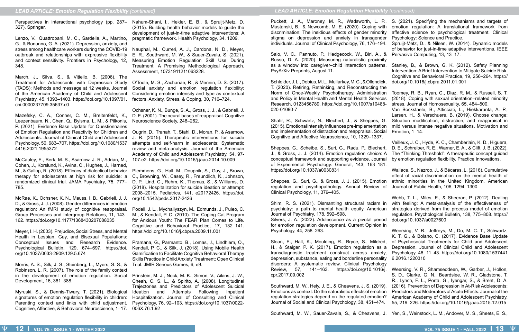Perspectives in interactional psychology (pp. 287– Nahum-Shani, I., Hekler, E. B., & Spruijt-Metz, D. 327). Springer.

Lenzo, V., Quattropani, M. C., Sardella, A., Martino, G., & Bonanno, G. A. (2021). Depression, anxiety, and stress among healthcare workers during the COVID-19 Nauphal, M., Curreri, A. J., Cardona, N. D., Meyer, outbreak and relationships with expressive flexibility and context sensitivity. Frontiers in Psychology, 12, 348.

March, J., Silva, S., & Vitiello, B. (2006). The Treatment for Adolescents with Depression Study (TADS): Methods and message at 12 weeks. Journal of the American Academy of Child and Adolescent Psychiatry, 45, 1393–1403. https://doi.org/10.1097/01. chi.0000237709.35637.c0

Mazefsky, C. A., Conner, C. M., Breitenfeldt, K., Leezenbaum, N., Chen, Q., Bylsma, L. M., & Pilkonis, P. (2021). Evidence Base Update for Questionnaires of Emotion Regulation and Reactivity for Children and Ougrin, D., Tranah, T., Stahl, D., Moran, P., & Asarnow, Adolescents. Journal of Clinical Child and Adolescent Psychology, 50, 683–707. https://doi.org/10.1080/1537 4416.2021.1955372

McCauley, E., Berk, M. S., Asarnow, J. R., Adrian, M., 107.e2. https://doi.org/10.1016/j.jaac.2014.10.009 Cohen, J., Korslund, K., Avina, C., Hughes, J., Harned, M., & Gallop, R. (2018). Efficacy of dialectical behavior therapy for adolescents at high risk for suicide: a randomized clinical trial. JAMA Psychiatry, 75, 777– D. P., Lind, C., Rehm, K., Thomas, S., & Williams, D. 785.

McRae, K., Ochsner, K. N., Mauss, I. B., Gabrieli, J. J. D., & Gross, J. J. (2008). Gender differences in emotion Group Processes and Intergroup Relations, 11, 143– 162. https://doi.org/10.1177/1368430207088035

Meyer, I. H. (2003). Prejudice, Social Stress, and Mental Health in Lesbian, Gay, and Bisexual Populations: Conceptual Issues and Research Evidence. Psychological Bulletin, 129, 674–697. https://doi. org/10.1037/0033-2909.129.5.674

Morris, A. S., Silk, J. S., Steinberg, L., Myers, S. S., & Robinson, L. R. (2007). The role of the family context in the development of emotion regulation. Social Prinstein, M. J., Nock, M. K., Simon, V., Aikins, J. W., Development, 16, 361–388.

(2015). Building health behavior models to guide the development of just-in-time adaptive interventions: A pragmatic framework. Health Psychology, 34, 1209.

> Salo, V. C., Pannuto, P., Hedgecock, W., Biri, A., Russo, D. A. (2020). Measuring naturalistic proxin as a window into caregiver-child interaction patter PsyArXiv Preprints, August 11.

E. R., Southward, M. W., & Sauer-Zavala, S. (2021). Measuring Emotion Regulation Skill Use During Treatment: A Promising Methodological Approach. Assessment, 10731911211063228.

> Schleider, J. L., Dobias, M. L., Mullarkey, M. C., & Ollendi T. (2020). Retiring, Rethinking, and Reconstructing Norm of Once-Weekly Psychotherapy. Administration and Policy in Mental Health and Mental Health Service Research, 0123456789. https://doi.org/10.1007/s104 020-01090-7

regulation: An fMRI study of cognitive reappraisal. Podell, J. L., Mychailyszyn, M., Edmunds, J., Puleo, C. M., & Kendall, P. C. (2010). The Coping Cat Program for Anxious Youth: The FEAR Plan Comes to Life. Cognitive and Behavioral Practice, 17, 132–141. https://doi.org/10.1016/j.cbpra.2009.11.001

Shafir, R., Schwartz, N., Blechert, J., & Sheppes, (2015). Emotional intensity influences pre-implementati and implementation of distraction and reappraisal. Soc Cognitive and Affective Neuroscience, 10, 1329–1337.

O'Toole, M. S., Zachariae, R., & Mennin, D. S. (2017). Social anxiety and emotion regulation flexibility: Considering emotion intensity and type as contextual factors. Anxiety, Stress, & Coping, 30, 716–724.

> Sheppes, G., Scheibe, S., Suri, G., Radu, P., Bleche J., & Gross, J. J. (2014). Emotion regulation choice conceptual framework and supporting evidence. Journal of Experimental Psychology: General, 143, 163-18 https://doi.org/10.1037/a0030831

> Sheppes, G., Suri, G., & Gross, J. J. (2015). Emotion regulation and psychopathology. Annual Review Clinical Psychology, 11, 379–405.

> Shim, R. S. (2021). Dismantling structural racism psychiatry: a path to mental health equity. Americ Journal of Psychiatry, 178, 592–598. Silvers, J. A. (2022). Adolescence as a pivotal per for emotion regulation development. Current Opinion

Ochsner, K. N., Bunge, S. A., Gross, J. J., & Gabrieli, J. D. E. (2001). The neural bases of reappraisal. Cognitive Neuroscience Society, 248–262.

> Psychology, 44, 258–263. Sloan, E., Hall, K., Moulding, R., Bryce, S., Mildr H., & Staiger, P. K. (2017). Emotion regulation as transdiagnostic treatment construct across anxiety

J. R. (2015). Therapeutic interventions for suicide attempts and self-harm in adolescents: Systematic review and meta-analysis. Journal of the American Academy of Child and Adolescent Psychiatry, 54, 97-

> depression, substance, eating and borderline personal disorders: A systematic review. Clinical Psychology Review, 57, 141–163. https://doi.org/10.1016 cpr.2017.09.002

Myruski, S., & Dennis-Tiwary, T. (2021). Biological signatures of emotion regulation flexibility in children: Parenting context and links with child adjustment. Cognitive, Affective, & Behavioral Neuroscience, 1–17. 006X.76.1.92 Southward, M. W., Heiy, J. E., & Cheavens, J. S. (201 Emotions as context: Do the naturalistic effects of emotion regulation strategies depend on the regulated emotion? Journal of Social and Clinical Psychology, 38, 451–474.

Southward, M. W., Sauer-Zavala, S., & Cheavens, J. Yen, S., Weinstock, L. M., Andover, M. S., Sheets, E. S.,

Plemmons, G., Hall, M., Doupnik, S., Gay, J., Brown, C., Browning, W., Casey, R., Freundlich, K., Johnson, (2018). Hospitalization for suicide ideation or attempt: 2008–2015. Pediatrics, 141, e20172426. https://doi. org/10.1542/peds.2017-2426

Pramana, G., Parmanto, B., Lomas, J., Lindhiem, O., Kendall, P. C., & Silk, J. (2018). Using Mobile Health Gamification to Facilitate Cognitive Behavioral Therapy Skills Practice in Child Anxiety Treatment: Open Clinical Trial. JMIR Serious Games, 6, e9.

Cheah, C. S. L., & Spirito, A. (2008). Longitudinal Trajectories and Predictors of Adolescent Suicidal Ideation and Attempts Following Inpatient Hospitalization. Journal of Consulting and Clinical Psychology, 76, 92–103. https://doi.org/10.1037/0022Puckett, J. A., Maroney, M. R., Wadsworth, L. Mustanski, B., & Newcomb, M. E. (2020). Coping w discrimination: The insidious effects of gender minor stigma on depression and anxiety in transgender individuals. Journal of Clinical Psychology, 76, 176-1

| P.,<br>vith<br>rity<br>der                           | S. (2021). Specifying the mechanisms and targets of<br>emotion regulation: A translational framework from<br>affective science to psychological treatment. Clinical                                                                                                                                                                                                                                                           |
|------------------------------------------------------|-------------------------------------------------------------------------------------------------------------------------------------------------------------------------------------------------------------------------------------------------------------------------------------------------------------------------------------------------------------------------------------------------------------------------------|
| 94.<br>, &<br>nity                                   | Psychology: Science and Practice.<br>Spruijt-Metz, D., & Nilsen, W. (2014). Dynamic models<br>of behavior for just-in-time adaptive interventions. IEEE<br>Pervasive Computing, 13, 13-17.                                                                                                                                                                                                                                    |
| ns.<br>ick,                                          | Stanley, B., & Brown, G. K. (2012). Safety Planning<br>Intervention: A Brief Intervention to Mitigate Suicide Risk.<br>Cognitive and Behavioral Practice, 19, 256-264. https://<br>doi.org/10.1016/j.cbpra.2011.01.001                                                                                                                                                                                                        |
| the<br>ion<br>ces<br>88-<br>G.<br>ion:<br>cial<br>7. | Toomey, R. B., Ryan, C., Diaz, R. M., & Russell, S. T.<br>(2018). Coping with sexual orientation-related minority<br>stress. Journal of Homosexuality, 65, 484-500.<br>Van Bockstaele, B., Atticciati, L., Hiekkaranta, A. P.,<br>Larsen, H., & Verschuere, B. (2019). Choose change:<br>Situation modification, distraction, and reappraisal in<br>mild versus intense negative situations. Motivation and<br>Emotion, 1-14. |
| ert,<br>: A<br>nal<br>81.                            | Veilleux, J. C., Hyde, K. C., Chamberlain, K. D., Higuera,<br>D. E., Schreiber, R. E., Warner, E. A., & Clift, J. B. (2022).<br>The "Thinking Threshold": A therapeutic concept guided<br>by emotion regulation flexibility. Practice Innovations.                                                                                                                                                                            |
| ion:<br>of                                           | Wallace, S., Nazroo, J., & Bécares, L. (2016). Cumulative<br>effect of racial discrimination on the mental health of<br>ethnic minorities in the United Kingdom. American<br>Journal of Public Health, 106, 1294-1300.                                                                                                                                                                                                        |
| ∣ in<br>can<br>iod<br>in ו                           | Webb, T. L., Miles, E., & Sheeran, P. (2012). Dealing<br>with feeling: A meta-analysis of the effectiveness of<br>strategies derived from the process model of emotion<br>regulation. Psychological Bulletin, 138, 775-808. https://<br>doi.org/10.1037/a0027600                                                                                                                                                              |
| ed,<br>sа<br>ety,<br>ılity                           | Weersing, V. R., Jeffreys, M., Do, M. C. T., Schwartz,<br>K. T. G., & Bolano, C. (2017). Evidence Base Update<br>of Psychosocial Treatments for Child and Adolescent<br>Depression. Journal of Clinical Child and Adolescent<br>Psychology, 46, 11-43. https://doi.org/10.1080/1537441<br>6.2016.1220310                                                                                                                      |
| pgy<br>6/j.<br>19).<br>ion:<br>າກ?                   | Weersing, V. R., Shamseddeen, W., Garber, J., Hollon,<br>S. D., Clarke, G. N., Beardslee, W. R., Gladstone, T.<br>R., Lynch, F. L., Porta, G., Iyengar, S., & Brent, D. A.<br>(2016). Prevention of Depression in At-Risk Adolescents:<br>Predictors and Moderators of Acute Effects. Journal of the<br>American Academy of Child and Adolescent Psychiatry,                                                                  |

- 55, 219–226. https://doi.org/10.1016/j.jaac.2015.12.015
-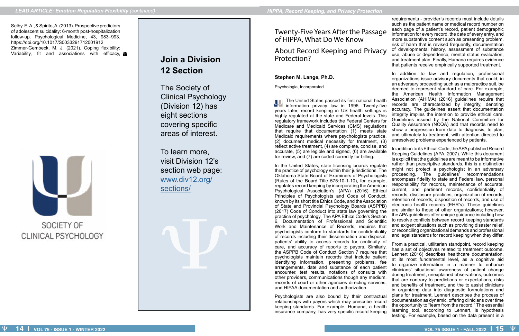Selby, E. A., & Spirito, A. (2013). Prospective predictors of adolescent suicidality: 6-month post-hospitalization follow-up. Psychological Medicine, 43, 983–993. https://doi.org/10.1017/S0033291712001912 Zimmer-Gembeck, M. J. (2021). Coping flexibility: Variability, fit and associations with efficacy, VI



## SOCIETY OF CLINICAL PSYCHOLOGY

## **Join a Division 12 Section**

The Society of Clinical Psychology (Division 12) has eight sections covering specific areas of interest.

To learn more, visit Division 12's section web page: [www.div12.org/](http://www.div12.org/sections/) [sections/](http://www.div12.org/sections/)

Twenty-Five Years After the Passage of HIPPA, What Do We Know

About Record Keeping and Privacy Protection?

### **Stephen M. Lange, Ph.D.**

Psychologia, Incorporated

The United States passed its first national health information privacy law in 1996. Twenty-five years later, record keeping in US health settings is highly regulated at the state and Federal levels. This regulatory framework includes the Federal Centers for Medicare and Medicaid Services (CMS) regulations that require that documentation (1) meets state Medicaid requirements where psychologists practice, (2) document medical necessity for treatment, (3) reflect active treatment, (4) are complete, concise, and

In addition to law and regulation, professional organizations issue advisory documents that could, in an adversary proceeding such as a malpractice suit, be deemed to represent standard of care. For example, the American Health Information Management Association (AHIMA) (2016) guidelines require that records are characterized by integrity, denoting accuracy. The guidelines assert that documentation integrity implies the intention to provide ethical care. Guidelines issued by the National Committee for Quality Assurance (NCQA) add that records need to show a progression from data to diagnosis, to plan, and ultimately to treatment, with attention directed to unresolved problems experienced by patients.

requirements - provider's records must include details such as the patient name or medical record number on each page of a patient's record, patient demographic information for every record, the date of every entry, and more substantive content such as presenting problem, risk of harm that is revised frequently, documentation of developmental history, assessment of substance use, abuse or dependence, mental status evaluation, and treatment plan. Finally, Humana requires evidence that patients receive empirically supported treatment.

accurate, (5) are legible and signed, (6) are available for review, and (7) are coded correctly for billing. In the United States, state licensing boards regulate the practice of psychology within their jurisdictions. The Oklahoma State Board of Examiners of Psychologists (Rules of the Board Title 575:10-1-10), for example, regulates record keeping by incorporating the American Psychological Association's (APA) (2016) Ethical Principles of Psychologists and Code of Conduct, known by its short title Ethics Code, and the Association of State and Provincial Psychology Boards (ASPPB) (2017) Code of Conduct into state law governing the practice of psychology. The APA Ethics Code's Section 6, Documentation of Professional and Scientific Work and Maintenance of Records, requires that psychologists conform to standards for confidentiality of records including their dissemination and disposal, patients' ability to access records for continuity of care, and accuracy of reports to payors. Similarly, the ASPPB Code of Conduct Section 7 requires that psychologists maintain records that include patient identifying information, presenting problems, fee arrangements, date and substance of each patient encounter, test results, notations of consults with other providers, communications though any medium, records of court or other agencies directing services, and HIPAA documentation and authorization. Psychologists are also bound by their contractual relationships with payors which may prescribe record keeping standards. For example, Humana, a health insurance company, has very specific record keeping In addition to its Ethical Code, the APA published Record Keeping Guidelines (APA, 2007). While this document is explicit that the guidelines are meant to be informative rather than prescriptive standards, this is a distinction might not protect a psychologist in an adversary proceeding. The guidelines' recommendations encompass fidelity to state and Federal law, personal responsibility for records, maintenance of accurate, current, and pertinent records, confidentiality of records, disclosure practices, organization of records, retention of records, disposition of records, and use of electronic health records (EHR's). These guidelines are similar to those of other organizations; however, the APA guidelines offer unique guidance including how to resolve conflicts between record keeping standards and exigent situations such as providing disaster relief, or reconciling organizational demands and professional and legal standards for record keeping when they differ. From a practical, utilitarian standpoint, record keeping has a set of objectives related to treatment outcome. Lennert (2016) describes healthcare documentation, at its most fundamental level, as a cognitive aid to organize information in a manner to enhance clinicians' situational awareness of patient change during treatment, unexplained observations, outcomes that are contrary to predictions or expectations, risks and benefits of treatment, and the to assist clinicians in organizing data into diagnostic formulations and plans for treatment. Lennert describes the process of documentation as dynamic, offering clinicians over time the opportunity to "learn from the record." The essential learning tool, according to Lennert, is hypothesis testing. For example, based on the data present in a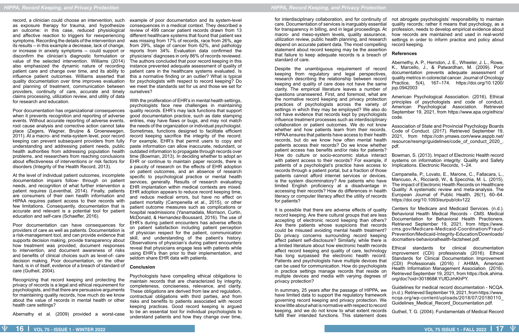record, a clinician could choose an intervention, such as exposure therapy for trauma, and hypothesize an outcome: in this case, reduced physiological and affective reaction to triggers for reexperiencing symptoms. Recording the details of the intervention and its results – in this example a decrease, lack of change, or increase in anxiety symptoms -- could support or disconfirm the clinician's diagnostic formulation or value of the selected intervention. Williams (2014) also emphasized the dynamic nature of recording patient care and change over time, and its ability to influence patient outcomes. Williams asserted that quality documentation over time improves evaluation and planning of treatment, communication between providers, continuity of care, accurate and timely claims processing, utilization review, and utility of data for research and education.

Poor documentation has organizational consequences when it prevents recognition and reporting of adverse events. Without accurate reporting of adverse events, root cause analysis and corrective action cannot take place (Zegers, Wagner, Bruijne & Groenewegen, 2011). At a macro- and meta-system level, poor record keeping can prevent subsequent providers from fully understanding and addressing patient needs, public health authorities from addressing population health problems, and researchers from reaching conclusions about effectiveness of interventions or risk factors for disorders (Integrity of the Health Record, 2013).

At the level of individual patient outcomes, incomplete documentation impairs follow- through on patient needs, and recognition of what further intervention a patient requires (Leventhal, 2014). Finally, patients are consumers of their own health information and HIPAA requires patient access to their records with few limitations. Consequently, documentation that is accurate and relevant is a potential tool for patient education and self-care (Schaeffer, 2016).

Poor documentation can have consequences for providers of care as well as patients. Documentation is a risk-management tool, and can provide evidence that supports decision making, provide transparency about how treatment was provided, document responses to intervention, and document awareness of risks and benefits of clinical choices such as level-of- care decision making. Poor documentation, on the other hand, is in of itself, evidence of a breach of standard of care (Gutheil, 2004).

Recognizing that record keeping and protecting the privacy of records is a legal and ethical requirement for psychologists, and that there are persuasive arguments for maintaining quality records, how much do we know about the value of records in mental health or other health care settings?

Abernathy et al. (2009) provided a worst-case

example of poor documentation and its system-level consequences in a medical context. They described a review of 499 cancer patient records drawn from 13 different healthcare systems that found that patient sex was missing from 17% of records, race from 26%, age from 29%, stage of cancer from 62%, and pathology reports from 34%. Evaluation data confirmed the physicians' diagnoses in only 86% of records reviewed. The authors concluded that poor record keeping in this instance prevented adequate assessment of quality of patient care in the healthcare systems evaluated. Is this a normative finding or an outlier? What is typical for psychologists with respect to record keeping? Do we meet the standards set for us and those we set for ourselves?

With the proliferation of EHR's in mental health settings, psychologists face new challenges in maintaining quality records. EHR's may lack functions that support good documentation practice, such as date stamping entries, may have flaws or bugs, and may not match the needs of the organization or individual psychologist. Sometimes, functions designed to facilitate efficient record keeping sacrifice the integrity of the record. For example, EHR's that permit users to copy and paste information can allow inaccurate, redundant, or outdated information to propagate through records over time (Bowman, 2013). In deciding whether to adopt an EHR or continue to maintain paper records, there is a paucity of research on the effects of EHR adoption on patient outcomes, and an absence of research specific to psychological practice or mental health services, generally. Results of research evaluating EHR implantation within medical contexts are mixed. EHR adoption appears to reduce record keeping time, and reduce medical errors, but have no effect on patient mortality (Campenella et al., 2015), or other patient outcome measures such as complications or hospital readmissions (Yanamadala, Morrison, Curtin, McDonald, & Hernandez-Boussard, 2016). The use of EHR's during patient encounters has adverse effects on patient satisfaction including patient perception of physician respect for the patient, communication skill, and understanding of the patient's history. Observations of physician's during patient encounters reveal that physicians engage less with patients while using EHR's than prior to their implementation, and seldom share EHR data with patients.

### **Conclusion**

It is possible that there are adverse effects of quality record keeping. Are there cultural groups that are less accepting of electronic record keeping than others? Are there patients whose suspicions that records could be misused avoiding mental health treatment? Do privacy concerns surrounding record keeping affect patient self-disclosure? Similarly, while there is a limited literature about how electronic health records affect record keeping and quality of care, technology has long surpassed the electronic health record. Patients and psychologists have multiple devices that can be used for communication. How do psychologists in practice settings manage records that reside on multiple devices and media with varying degrees of privacy protection? Centers for Medicare and Medicaid Services. (n.d.). Behavioral Health Medical Records - CMS. Medical Documentation for Behavioral Health Practioners. Retrieved September 19, 2021, from https://www. cms.gov/Medicare-Medicaid-Coordination/Fraud-Prevention/Medicaid-Integrity-Education/Downloads/ docmatters-behavioralhealth-factsheet.pdf. Ethical standards for clinical documentation improvement (CDI) professionals (2016). Ethical Standards for Clinical Documentation Improvement (CDI) Professionals (2016) / AHIMA, American Health Information Management Association. (2016). Retrieved September 19, 2021, from https://bok.ahima. org/doc?oid=301868#.YUfDJrhKhPY.

Psychologists have compelling ethical obligations to maintain records that are characterized by integrity, completeness, conciseness, relevance, and clarity. These obligations are derived from law and regulation, contractual obligations with third parties, and from risks and benefits to patients associated with record keeping practices. Good record keeping is argued to be an essential tool for individual psychologists to understand patients and how they change over time,

for interdisciplinary collaboration, and for continuity of care. Documentation of services is inarguably essential for transparency in billing, and in legal proceedings. At macro- and meso-system levels, quality assurance, utilization review, public health planning, and research depend on accurate patient data. The most compelling statement about record keeping may be the assertion that failure to keep adequate records is a breach of standard of care. not abrogate psychologists' responsibility to maintain quality records; rather it means that psychology, as a profession, needs to develop empirical evidence about how records are maintained and used in real-world settings in order to inform practice and policy about record keeping. **References**

Despite the unambiguous requirement of record keeping from regulatory and legal perspectives, research describing the relationship between record keeping and quality of care does not have the same clarity. The empirical literature leaves a number of questions unanswered. First, and foremost, what are the normative record keeping and privacy protection practices of psychologists across the variety of settings in which they may be employed? We also do not have evidence that records kept by psychologists influence treatment processes such as interdisciplinary collaboration or patient outcomes. We do not know whether and how patients learn from their records. HIPAA ensures that patients have access to their health records, but do we know how often mental health patients access their records? Do we know whether patient access has benefits and/or risks for patients? How do culture or socio-economic status interact with patient access to their records? For example, if patients of a psychologist's practice have access to records through a patient portal, but a fraction of those patients cannot afford internet services or devices, is the system discriminatory? Are patients who have limited English proficiency at a disadvantage in accessing their records? How do differences in health literacy or computer literacy affect the utility of records for patients? Abernethy, A. P., Herndon, J. E., Wheeler, J. L., Rowe, K., Marcello, J., & Patwardhan, M. (2009). Poor documentation prevents adequate assessment of quality metrics in colorectal cancer. Journal of Oncology Practice, 5(4), 167–174. https://doi.org/10.1200/ jop.0942003 American Psychological Association. (2016). Ethical principles of psychologists and code of conduct. American Psychological Association. Retrieved September 19, 2021, from https://www.apa.org/ethics/ code. Association of State and Provincial Psychology Boards Code of Conduct. (2017). Retrieved September 19, 2021, from https://cdn.ymaws.com/www.asppb.net/ resource/resmgr/guidelines/code\_of\_conduct\_2020\_. pdf. Bowman, S. (2013). Impact of Electronic Health record systems on information integrity: Quality and Safety Implications. Electronic Records, 1–24. Campanella, P., Lovato, E., Marone, C., Fallacara, L., Mancuso, A., Ricciardi, W., & Specchia, M. L. (2015). The impact of Electronic Health Records on Healthcare Quality: A systematic review and meta-analysis. The European Journal of Public Health, 26(1), 60–64. https://doi.org/10.1093/eurpub/ckv122

In summary, 25 years after the passage of HIPPA, we have limited data to support the regulatory framework governing record keeping and privacy protection. We know little about what is normative with respect to record keeping, and we do not know to what extent records fulfill their intended functions. This statement does Guidelines for medical record documentation - NCQA. (n.d.). Retrieved September 19, 2021, from https://www. ncqa.org/wp-content/uploads/2018/07/20180110\_ Guidelines Medical Record Documentation.pdf. Gutheil, T. G. (2004). Fundamentals of Medical Record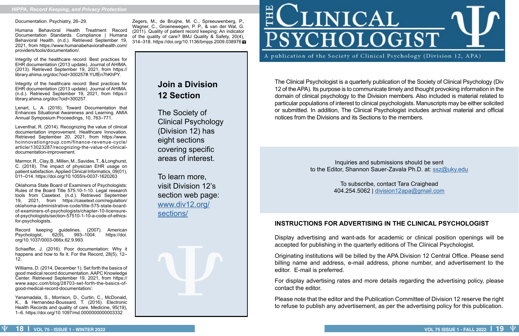Documentation. Psychiatry, 26–29.

Humana Behavioral Health Treatment Record Documentation Standards. Compliance | Humana Behavioral Health. (n.d.). Retrieved September 19, 2021, from https://www.humanabehavioralhealth.com/ providers/tools/documentation/.

Integrity of the healthcare record: Best practices for EHR documentation (2013 update). Journal of AHIMA. (2013). Retrieved September 19, 2021, from https:// library.ahima.org/doc?oid=300257#.YUfEn7hKhPY.

Integrity of the healthcare record: Best practices for EHR documentation (2013 update). Journal of AHIMA. (n.d.). Retrieved September 19, 2021, from https:// library.ahima.org/doc?oid=300257.

Lenart, L. A. (2016). Toward Documentation that Enhances Situational Awareness and Learning. AMIA Annual Symposium Proceedings, 10, 763–771.

Record keeping guidelines. (2007). American<br>Psychologist, 62(9), 993–1004. https://doi. Psychologist, 62(9), 993–1004. https://doi. org/10.1037/0003-066x.62.9.993

Leventhal, R. (2014). Recognizing the value of clinical documentation improvement. Healthcare Innovation. Retrieved September 20, 2021, from https://www. hcinnovationgroup.com/finance-revenue-cycle/ article/13023287/recognizing-the-value-of-clinicaldocumentation-improvement.

Zegers, M., de Bruijne, M. C., Spreeuwenberg, P., Wagner, C., Groenewegen, P. P., & van der Wal, G. (2011). Quality of patient record keeping: An indicator of the quality of care? BMJ Quality & Safety, 20(4), 314–318. https://doi.org/10.1136/bmjqs.2009.038976 **W** 

Marmor, R., Clay, B., Millen, M., Savides, T., & Longhurst, C. (2018). The impact of physician EHR usage on patient satisfaction. Applied Clinical Informatics, 09(01), 011–014. https://doi.org/10.1055/s-0037-1620263

Oklahoma State Board of Examiners of Psychologists: Rules of the Board Title 575:10-1-10. Legal research tools from Casetext. (n.d.). Retrieved September 19, 2021, from https://casetext.com/regulation/ oklahoma-administrative-code/title-575-state-boardof-examiners-of-psychologists/chapter-10-licensureof-psychologists/section-57510-1-10-a-code-of-ethicsfor-psychologists.

Schaeffer, J. (2016). Poor documentation: Why it happens and how to fix it. For the Record, 28(5), 12-12.

Williams, D. (2014, December 1). Set forth the basics of good medical record documentation. AAPC Knowledge Center. Retrieved September 19, 2021, from https:// www.aapc.com/blog/28703-set-forth-the-basics-ofgood-medical-record-documentation/.

Yanamadala, S., Morrison, D., Curtin, C., McDonald, K., & Hernandez-Boussard, T. (2016). Electronic Health Records and quality of care. Medicine, 95(19), 1–6. https://doi.org/10.1097/md.0000000000003332

## **Join a Division 12 Section**

The Society of Clinical Psychology (Division 12) has eight sections covering specific areas of interest.

To learn more, visit Division 12's section web page: [www.div12.org/](http://www.div12.org/sections/) [sections/](http://www.div12.org/sections/)



# **INICAL** PSYCHOLOGIST

A publication of the Society of Clinical Psychology (Division 12, APA)

The Clinical Psychologist is a quarterly publication of the Society of Clinical Psychology (Div 12 of the APA). Its purpose is to communicate timely and thought provoking information in the domain of clinical psychology to the Division members. Also included is material related to particular populations of interest to clinical psychologists. Manuscripts may be either solicited or submitted. In addition, The Clinical Psychologist includes archival material and official notices from the Divisions and its Sections to the members.

> Inquiries and submissions should be sent to the Editor, Shannon Sauer-Zavala Ph.D. at: [ssz](mailto:ssauer%40bu.edu?subject=)@uky.edu

> > To subscribe, contact Tara Craighead 404.254.5062 | [division12apa@gmail.com](mailto:division12apa%40gmail.com?subject=)

## **INSTRUCTIONS FOR ADVERTISING IN THE CLINICAL PSYCHOLOGIST**

Display advertising and want-ads for academic or clinical position openings will be accepted for publishing in the quarterly editions of The Clinical Psychologist.

Originating institutions will be billed by the APA Division 12 Central Office. Please send billing name and address, e-mail address, phone number, and advertisement to the editor. E-mail is preferred.

For display advertising rates and more details regarding the advertising policy, please contact the editor.

Please note that the editor and the Publication Committee of Division 12 reserve the right to refuse to publish any advertisement, as per the advertising policy for this publication.

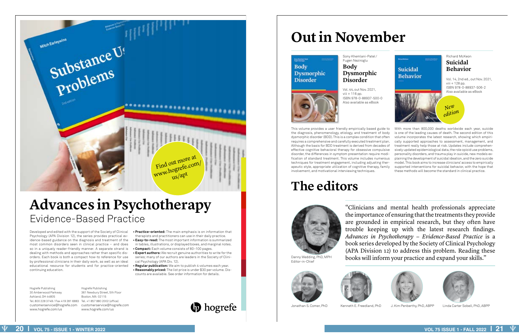Hogrefe Publishing 30 Amberwood Parkway Ashland, OH 44805 Tel. 800 228 3749 / Fax 419 281 6883 Tel. +1 857 880 2002 (office) www.hogrefe.com/us

Developed and edited with the support of the Society of Clinical Psychology (APA Division 12), the series provides practical evidence-based guidance on the diagnosis and treatment of the most common disorders seen in clinical practice − and does so in a uniquely reader-friendly manner. A separate strand is dealing with methods and approaches rather than specific disorders. Each book is both a compact how-to reference for use by professional clinicians in their daily work, as well as an ideal educational resource for students and for practice-oriented continuing education.

customerservice@hogrefe.com customerservice@hogrefe.com Hogrefe Publishing 361 Newbury Street, 5th Floor Boston, MA 02115 www.hogrefe.com/us

**• Practice-oriented:** The main emphasis is on information that therapists and practitioners can use in their daily practice. **• Easy-to-read:** The most important information is summarized

# **Advances in Psychotherapy** Evidence-Based Practice

- in tables, illustrations, or displayed boxes, and marginal notes. **• Compact:** Each volume consists of 80−100 pages.
- **Expert authors:** We recruit genuine authorities to write for the series; many of our authors are leaders in the Society of Clinical Psychology (APA Div. 12).
- **Regular publication:** We aim to publish 4 volumes each year. **• Reasonably priced:** The list price is under \$30 per volume. Discounts are available. See order information for details.



"Clinicians and mental health professionals appreciate the importance of ensuring that the treatments they provide are grounded in empirical research, but they often have trouble keeping up with the latest research findings. *Advances in Psychotherapy − Evidence-Based Practice* is a book series developed by the Society of Clinical Psychology (APA Division 12) to address this problem. Reading these Danny Wedding, PhD, MPH books will inform your practice and expand your skills."

Sony Khemlani-Patel/ Fugen Neziroglu **Body** 

**Dysmorphic** 

## viii + 116 pp.



**Body** 

**Dysmorphic** 

**Disorder** 

**Disorder** Vol. 44, out Nov. 2021, ISBN 978-0-88937-500-0 Also available as eBook



With more than 800,000 deaths worldwide each year, suicide is one of the leading causes of death. The second edition of this volume incorporates the latest research, showing which empirically supported approaches to assessment, management, and treatment really help those at risk. Updates include comprehensively updated epidemiological data, the role opioid use problems, personality disorders, and trauma play in suicide, new models explaining the development of suicidal ideation, and the zero suicide model. This book aims to increase clinicians' access to empirically supported interventions for suicidal behavior, with the hope that these methods will become the standard in clinical practice.





# **Out in November**

# **The editors**



Editor-in-Chief





**b** hogrefe



Jonathan S. Comer, PhD Kenneth E. Freedland, PhD J. Kim Penberthy, PhD, ABPP Linda Carter Sobell, PhD, ABPP